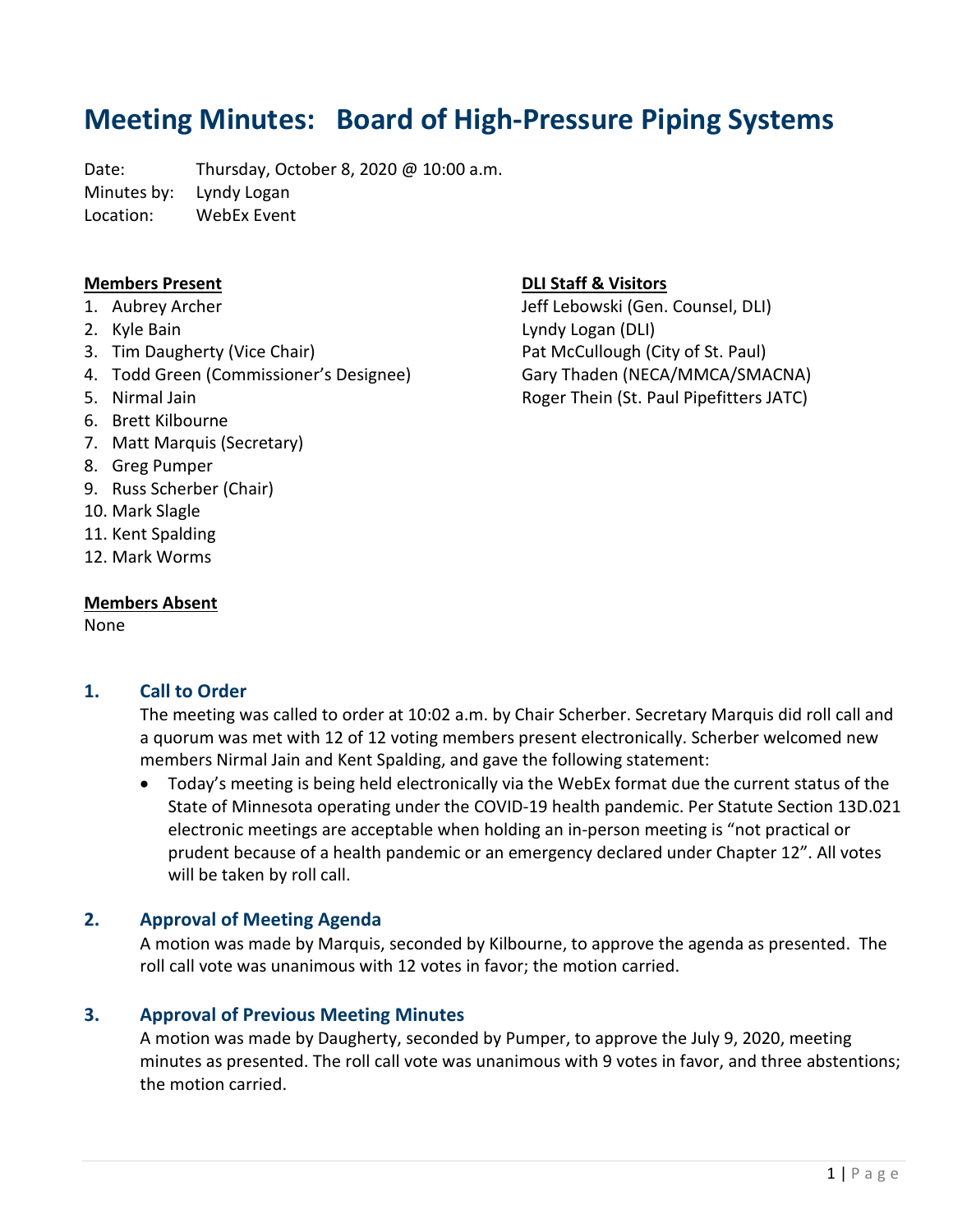# **Meeting Minutes: Board of High-Pressure Piping Systems**

Date: Thursday, October 8, 2020 @ 10:00 a.m. Minutes by: Lyndy Logan Location: WebEx Event

#### **Members Present**

- 1. Aubrey Archer
- 2. Kyle Bain
- 3. Tim Daugherty (Vice Chair)
- 4. Todd Green (Commissioner's Designee)
- 5. Nirmal Jain
- 6. Brett Kilbourne
- 7. Matt Marquis (Secretary)
- 8. Greg Pumper
- 9. Russ Scherber (Chair)
- 10. Mark Slagle
- 11. Kent Spalding
- 12. Mark Worms

#### **Members Absent**

None

#### **1. Call to Order**

The meeting was called to order at 10:02 a.m. by Chair Scherber. Secretary Marquis did roll call and a quorum was met with 12 of 12 voting members present electronically. Scherber welcomed new members Nirmal Jain and Kent Spalding, and gave the following statement:

• Today's meeting is being held electronically via the WebEx format due the current status of the State of Minnesota operating under the COVID-19 health pandemic. Per Statute Section 13D.021 electronic meetings are acceptable when holding an in-person meeting is "not practical or prudent because of a health pandemic or an emergency declared under Chapter 12". All votes will be taken by roll call.

# **2. Approval of Meeting Agenda**

A motion was made by Marquis, seconded by Kilbourne, to approve the agenda as presented. The roll call vote was unanimous with 12 votes in favor; the motion carried.

#### **3. Approval of Previous Meeting Minutes**

A motion was made by Daugherty, seconded by Pumper, to approve the July 9, 2020, meeting minutes as presented. The roll call vote was unanimous with 9 votes in favor, and three abstentions; the motion carried.

### **DLI Staff & Visitors**

Jeff Lebowski (Gen. Counsel, DLI) Lyndy Logan (DLI) Pat McCullough (City of St. Paul) Gary Thaden (NECA/MMCA/SMACNA) Roger Thein (St. Paul Pipefitters JATC)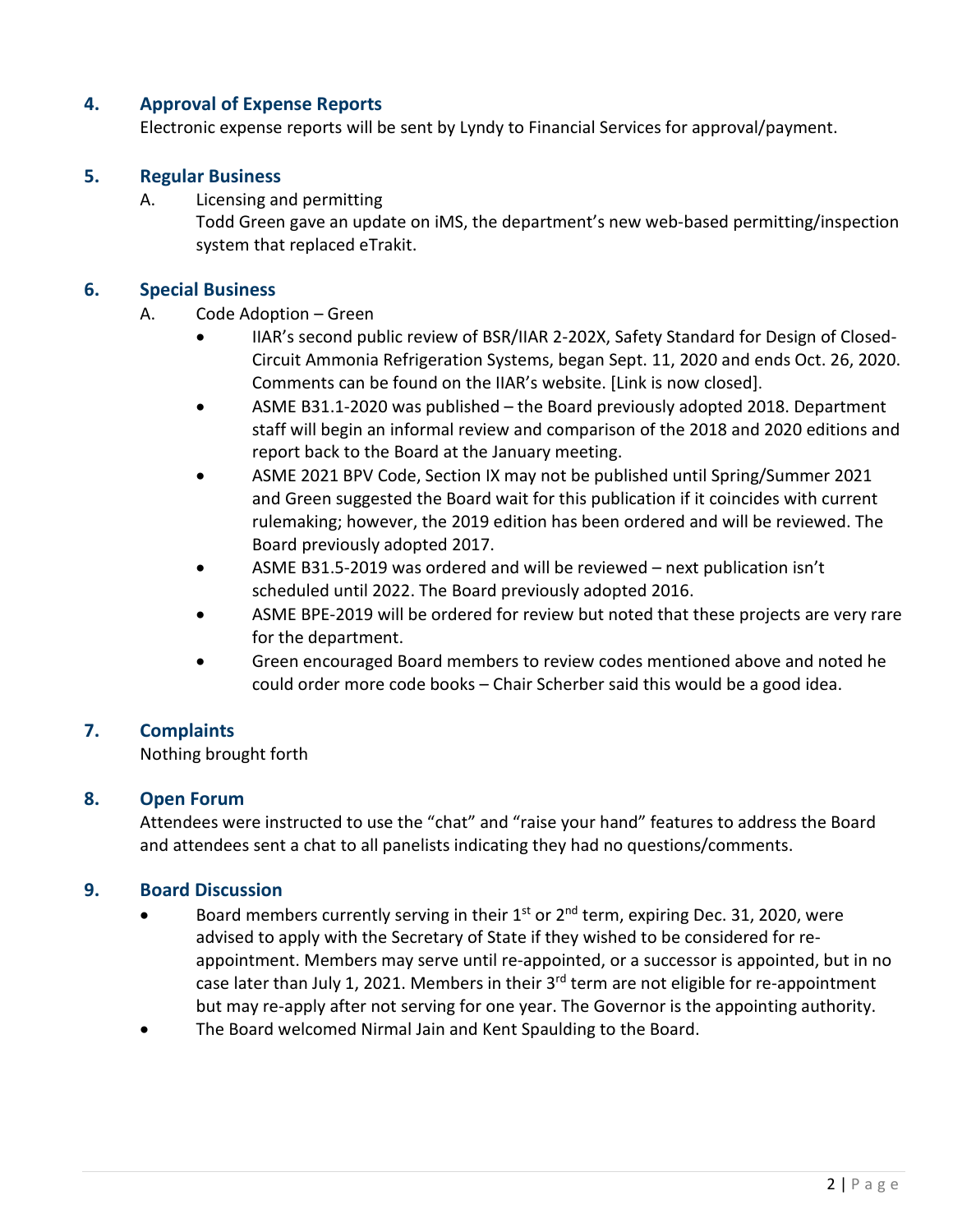# **4. Approval of Expense Reports**

Electronic expense reports will be sent by Lyndy to Financial Services for approval/payment.

### **5. Regular Business**

A. Licensing and permitting

Todd Green gave an update on iMS, the department's new web-based permitting/inspection system that replaced eTrakit.

#### **6. Special Business**

#### A. Code Adoption – Green

- IIAR's second public review of BSR/IIAR 2-202X, Safety Standard for Design of Closed-Circuit Ammonia Refrigeration Systems, began Sept. 11, 2020 and ends Oct. 26, 2020. Comments can be found on the IIAR's website. [Link is now closed].
- ASME B31.1-2020 was published the Board previously adopted 2018. Department staff will begin an informal review and comparison of the 2018 and 2020 editions and report back to the Board at the January meeting.
- ASME 2021 BPV Code, Section IX may not be published until Spring/Summer 2021 and Green suggested the Board wait for this publication if it coincides with current rulemaking; however, the 2019 edition has been ordered and will be reviewed. The Board previously adopted 2017.
- ASME B31.5-2019 was ordered and will be reviewed next publication isn't scheduled until 2022. The Board previously adopted 2016.
- ASME BPE-2019 will be ordered for review but noted that these projects are very rare for the department.
- Green encouraged Board members to review codes mentioned above and noted he could order more code books – Chair Scherber said this would be a good idea.

# **7. Complaints**

Nothing brought forth

#### **8. Open Forum**

Attendees were instructed to use the "chat" and "raise your hand" features to address the Board and attendees sent a chat to all panelists indicating they had no questions/comments.

# **9. Board Discussion**

- Board members currently serving in their  $1<sup>st</sup>$  or  $2<sup>nd</sup>$  term, expiring Dec. 31, 2020, were advised to apply with the Secretary of State if they wished to be considered for reappointment. Members may serve until re-appointed, or a successor is appointed, but in no case later than July 1, 2021. Members in their 3<sup>rd</sup> term are not eligible for re-appointment but may re-apply after not serving for one year. The Governor is the appointing authority.
- The Board welcomed Nirmal Jain and Kent Spaulding to the Board.